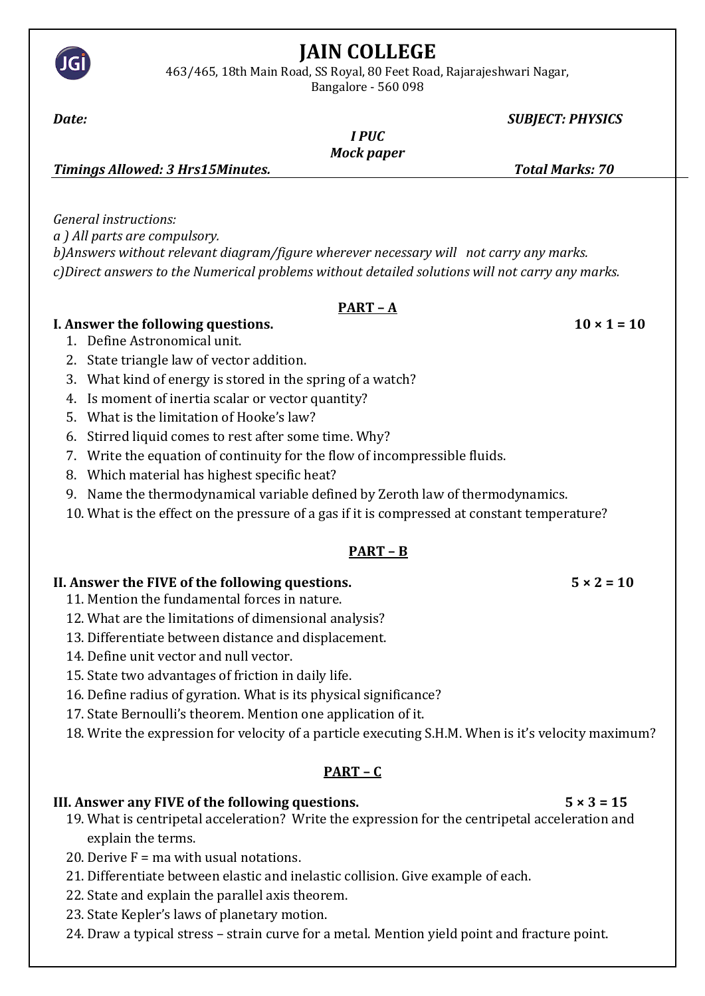

# **JAIN COLLEGE**

463/465, 18th Main Road, SS Royal, 80 Feet Road, Rajarajeshwari Nagar, Bangalore - 560 098

### *Date: SUBJECT: PHYSICS*

#### *I PUC Mock paper*

*Timings Allowed: 3 Hrs15Minutes. Total Marks: 70*

*General instructions: a ) All parts are compulsory. b)Answers without relevant diagram/figure wherever necessary will not carry any marks. c)Direct answers to the Numerical problems without detailed solutions will not carry any marks.*

### **PART – A**

### **I. Answer the following questions.**  $10 \times 1 = 10$

- 1. Define Astronomical unit.
- 2. State triangle law of vector addition.
- 3. What kind of energy is stored in the spring of a watch?
- 4. Is moment of inertia scalar or vector quantity?
- 5. What is the limitation of Hooke's law?
- 6. Stirred liquid comes to rest after some time. Why?
- 7. Write the equation of continuity for the flow of incompressible fluids.
- 8. Which material has highest specific heat?
- 9. Name the thermodynamical variable defined by Zeroth law of thermodynamics.
- 10. What is the effect on the pressure of a gas if it is compressed at constant temperature?

## **PART – B**

## **II. Answer the FIVE of the following questions.**  $5 \times 2 = 10$

## 11. Mention the fundamental forces in nature.

- 12. What are the limitations of dimensional analysis?
- 13. Differentiate between distance and displacement.
- 14. Define unit vector and null vector.
- 15. State two advantages of friction in daily life.
- 16. Define radius of gyration. What is its physical significance?
- 17. State Bernoulli's theorem. Mention one application of it.
- 18. Write the expression for velocity of a particle executing S.H.M. When is it's velocity maximum?

## **PART – C**

## **III. Answer any FIVE of the following questions. 5 × 3 = 15**

- 19. What is centripetal acceleration? Write the expression for the centripetal acceleration and explain the terms.
- 20. Derive  $F = ma$  with usual notations.
- 21. Differentiate between elastic and inelastic collision. Give example of each.
- 22. State and explain the parallel axis theorem.
- 23. State Kepler's laws of planetary motion.
- 24. Draw a typical stress strain curve for a metal. Mention yield point and fracture point.